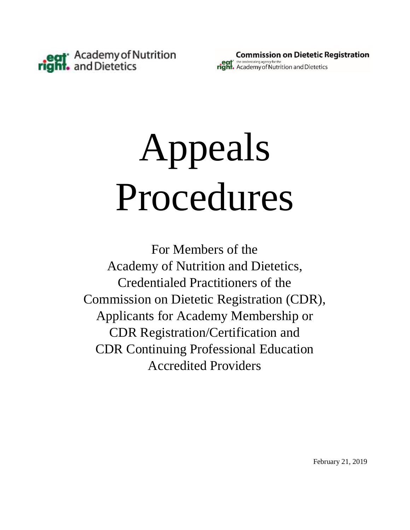

# Appeals Procedures

For Members of the Academy of Nutrition and Dietetics, Credentialed Practitioners of the Commission on Dietetic Registration (CDR), Applicants for Academy Membership or CDR Registration/Certification and CDR Continuing Professional Education Accredited Providers

February 21, 2019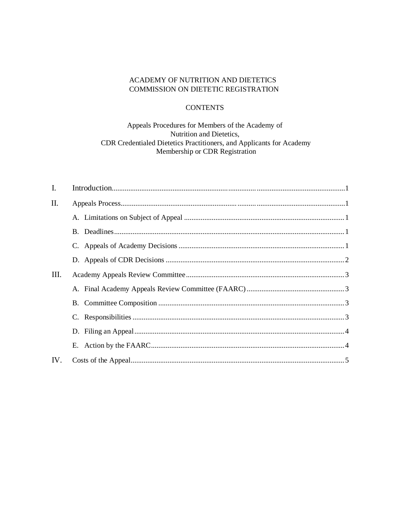## ACADEMY OF NUTRITION AND DIETETICS COMMISSION ON DIETETIC REGISTRATION

# **CONTENTS**

## Appeals Procedures for Members of the Academy of Nutrition and Dietetics, CDR Credentialed Dietetics Practitioners, and Applicants for Academy Membership or CDR Registration

| $\mathbf{I}$ . |  |
|----------------|--|
| II.            |  |
|                |  |
|                |  |
|                |  |
|                |  |
| III.           |  |
|                |  |
|                |  |
|                |  |
|                |  |
|                |  |
| IV.            |  |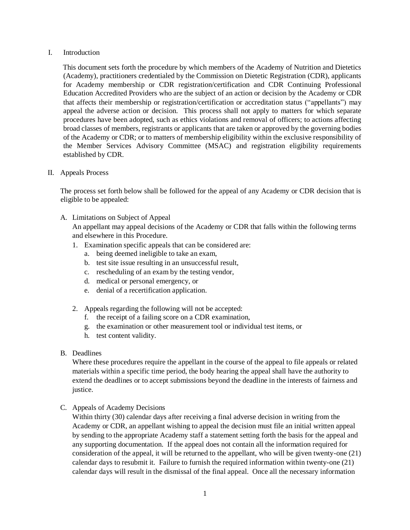#### I. Introduction

This document sets forth the procedure by which members of the Academy of Nutrition and Dietetics (Academy), practitioners credentialed by the Commission on Dietetic Registration (CDR), applicants for Academy membership or CDR registration/certification and CDR Continuing Professional Education Accredited Providers who are the subject of an action or decision by the Academy or CDR that affects their membership or registration/certification or accreditation status ("appellants") may appeal the adverse action or decision. This process shall not apply to matters for which separate procedures have been adopted, such as ethics violations and removal of officers; to actions affecting broad classes of members, registrants or applicants that are taken or approved by the governing bodies of the Academy or CDR; or to matters of membership eligibility within the exclusive responsibility of the Member Services Advisory Committee (MSAC) and registration eligibility requirements established by CDR.

II. Appeals Process

The process set forth below shall be followed for the appeal of any Academy or CDR decision that is eligible to be appealed:

A. Limitations on Subject of Appeal

An appellant may appeal decisions of the Academy or CDR that falls within the following terms and elsewhere in this Procedure.

- 1. Examination specific appeals that can be considered are:
	- a. being deemed ineligible to take an exam,
	- b. test site issue resulting in an unsuccessful result,
	- c. rescheduling of an exam by the testing vendor,
	- d. medical or personal emergency, or
	- e. denial of a recertification application.
- 2. Appeals regarding the following will not be accepted:
	- f. the receipt of a failing score on a CDR examination,
	- g. the examination or other measurement tool or individual test items, or
	- h. test content validity.
- B. Deadlines

Where these procedures require the appellant in the course of the appeal to file appeals or related materials within a specific time period, the body hearing the appeal shall have the authority to extend the deadlines or to accept submissions beyond the deadline in the interests of fairness and justice.

C. Appeals of Academy Decisions

Within thirty (30) calendar days after receiving a final adverse decision in writing from the Academy or CDR, an appellant wishing to appeal the decision must file an initial written appeal by sending to the appropriate Academy staff a statement setting forth the basis for the appeal and any supporting documentation. If the appeal does not contain all the information required for consideration of the appeal, it will be returned to the appellant, who will be given twenty-one (21) calendar days to resubmit it. Failure to furnish the required information within twenty-one (21) calendar days will result in the dismissal of the final appeal. Once all the necessary information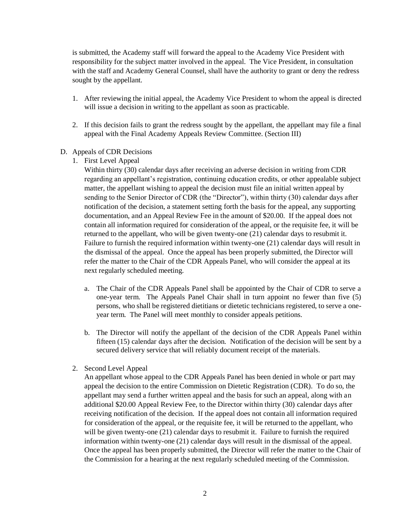is submitted, the Academy staff will forward the appeal to the Academy Vice President with responsibility for the subject matter involved in the appeal. The Vice President, in consultation with the staff and Academy General Counsel, shall have the authority to grant or deny the redress sought by the appellant.

- 1. After reviewing the initial appeal, the Academy Vice President to whom the appeal is directed will issue a decision in writing to the appellant as soon as practicable.
- 2. If this decision fails to grant the redress sought by the appellant, the appellant may file a final appeal with the Final Academy Appeals Review Committee. (Section III)

#### D. Appeals of CDR Decisions

1. First Level Appeal

Within thirty (30) calendar days after receiving an adverse decision in writing from CDR regarding an appellant's registration, continuing education credits, or other appealable subject matter, the appellant wishing to appeal the decision must file an initial written appeal by sending to the Senior Director of CDR (the "Director"), within thirty (30) calendar days after notification of the decision, a statement setting forth the basis for the appeal, any supporting documentation, and an Appeal Review Fee in the amount of \$20.00. If the appeal does not contain all information required for consideration of the appeal, or the requisite fee, it will be returned to the appellant, who will be given twenty-one (21) calendar days to resubmit it. Failure to furnish the required information within twenty-one (21) calendar days will result in the dismissal of the appeal. Once the appeal has been properly submitted, the Director will refer the matter to the Chair of the CDR Appeals Panel, who will consider the appeal at its next regularly scheduled meeting.

- a. The Chair of the CDR Appeals Panel shall be appointed by the Chair of CDR to serve a one-year term. The Appeals Panel Chair shall in turn appoint no fewer than five (5) persons, who shall be registered dietitians or dietetic technicians registered, to serve a oneyear term. The Panel will meet monthly to consider appeals petitions.
- b. The Director will notify the appellant of the decision of the CDR Appeals Panel within fifteen (15) calendar days after the decision. Notification of the decision will be sent by a secured delivery service that will reliably document receipt of the materials.
- 2. Second Level Appeal

An appellant whose appeal to the CDR Appeals Panel has been denied in whole or part may appeal the decision to the entire Commission on Dietetic Registration (CDR). To do so, the appellant may send a further written appeal and the basis for such an appeal, along with an additional \$20.00 Appeal Review Fee, to the Director within thirty (30) calendar days after receiving notification of the decision. If the appeal does not contain all information required for consideration of the appeal, or the requisite fee, it will be returned to the appellant, who will be given twenty-one (21) calendar days to resubmit it. Failure to furnish the required information within twenty-one (21) calendar days will result in the dismissal of the appeal. Once the appeal has been properly submitted, the Director will refer the matter to the Chair of the Commission for a hearing at the next regularly scheduled meeting of the Commission.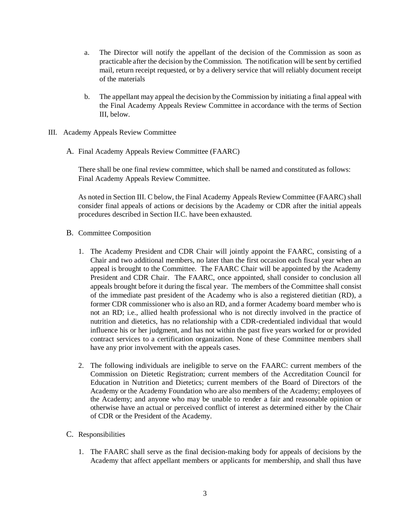- a. The Director will notify the appellant of the decision of the Commission as soon as practicable after the decision by the Commission. The notification will be sent by certified mail, return receipt requested, or by a delivery service that will reliably document receipt of the materials
- b. The appellant may appeal the decision by the Commission by initiating a final appeal with the Final Academy Appeals Review Committee in accordance with the terms of Section III, below.
- III. Academy Appeals Review Committee
	- A. Final Academy Appeals Review Committee (FAARC)

There shall be one final review committee, which shall be named and constituted as follows: Final Academy Appeals Review Committee.

As noted in Section III. C below, the Final Academy Appeals Review Committee (FAARC) shall consider final appeals of actions or decisions by the Academy or CDR after the initial appeals procedures described in Section II.C. have been exhausted.

- B. Committee Composition
	- 1. The Academy President and CDR Chair will jointly appoint the FAARC, consisting of a Chair and two additional members, no later than the first occasion each fiscal year when an appeal is brought to the Committee. The FAARC Chair will be appointed by the Academy President and CDR Chair. The FAARC, once appointed, shall consider to conclusion all appeals brought before it during the fiscal year. The members of the Committee shall consist of the immediate past president of the Academy who is also a registered dietitian (RD), a former CDR commissioner who is also an RD, and a former Academy board member who is not an RD; i.e., allied health professional who is not directly involved in the practice of nutrition and dietetics, has no relationship with a CDR-credentialed individual that would influence his or her judgment, and has not within the past five years worked for or provided contract services to a certification organization. None of these Committee members shall have any prior involvement with the appeals cases.
	- 2. The following individuals are ineligible to serve on the FAARC: current members of the Commission on Dietetic Registration; current members of the Accreditation Council for Education in Nutrition and Dietetics; current members of the Board of Directors of the Academy or the Academy Foundation who are also members of the Academy; employees of the Academy; and anyone who may be unable to render a fair and reasonable opinion or otherwise have an actual or perceived conflict of interest as determined either by the Chair of CDR or the President of the Academy.
- C. Responsibilities
	- 1. The FAARC shall serve as the final decision-making body for appeals of decisions by the Academy that affect appellant members or applicants for membership, and shall thus have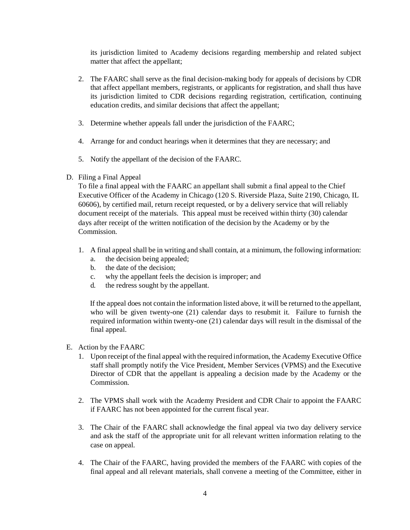its jurisdiction limited to Academy decisions regarding membership and related subject matter that affect the appellant;

- 2. The FAARC shall serve as the final decision-making body for appeals of decisions by CDR that affect appellant members, registrants, or applicants for registration, and shall thus have its jurisdiction limited to CDR decisions regarding registration, certification, continuing education credits, and similar decisions that affect the appellant;
- 3. Determine whether appeals fall under the jurisdiction of the FAARC;
- 4. Arrange for and conduct hearings when it determines that they are necessary; and
- 5. Notify the appellant of the decision of the FAARC.
- D. Filing a Final Appeal

To file a final appeal with the FAARC an appellant shall submit a final appeal to the Chief Executive Officer of the Academy in Chicago (120 S. Riverside Plaza, Suite 2190, Chicago, IL 60606), by certified mail, return receipt requested, or by a delivery service that will reliably document receipt of the materials. This appeal must be received within thirty (30) calendar days after receipt of the written notification of the decision by the Academy or by the Commission.

- 1. A final appeal shall be in writing and shall contain, at a minimum, the following information:
	- a. the decision being appealed;
	- b. the date of the decision;
	- c. why the appellant feels the decision is improper; and
	- d. the redress sought by the appellant.

If the appeal does not contain the information listed above, it will be returned to the appellant, who will be given twenty-one (21) calendar days to resubmit it. Failure to furnish the required information within twenty-one (21) calendar days will result in the dismissal of the final appeal.

- E. Action by the FAARC
	- 1. Upon receipt of the final appeal with the required information, the Academy Executive Office staff shall promptly notify the Vice President, Member Services (VPMS) and the Executive Director of CDR that the appellant is appealing a decision made by the Academy or the Commission.
	- 2. The VPMS shall work with the Academy President and CDR Chair to appoint the FAARC if FAARC has not been appointed for the current fiscal year.
	- 3. The Chair of the FAARC shall acknowledge the final appeal via two day delivery service and ask the staff of the appropriate unit for all relevant written information relating to the case on appeal.
	- 4. The Chair of the FAARC, having provided the members of the FAARC with copies of the final appeal and all relevant materials, shall convene a meeting of the Committee, either in